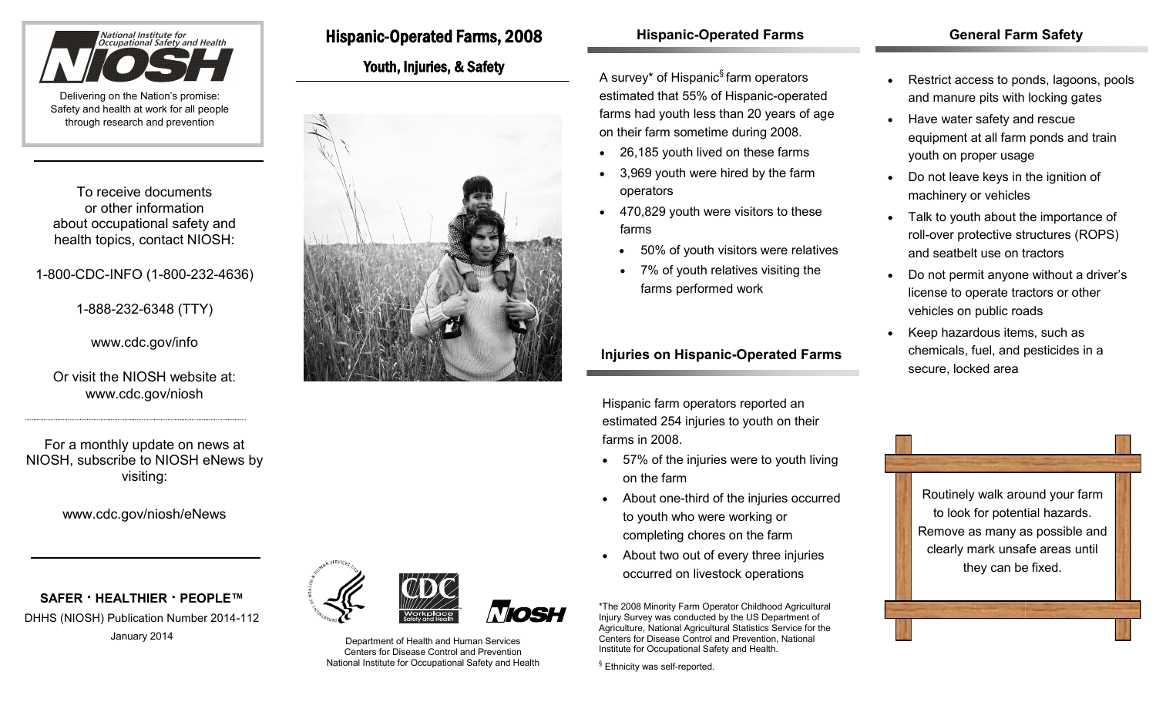

To receive documents or other information about occupational safety and health topics, contact NIOSH:

# 1-800-CDC-INFO (1-800-232-4636)

1-888-232-6348 (TTY)

www.cdc.gov/info

Or visit the NIOSH website at: www.cdc.gov/niosh

For a monthly update on news at NIOSH, subscribe to NIOSH eNews by visiting:

www.cdc.gov/niosh/eNews

**SAFER · HEALTHIER · PEOPLE™** DHHS (NIOSH) Publication Number 2014-112



January 2014 **Department of Health and Human Services** Centers for Disease Control and Prevention National Institute for Occupational Safety and Health

Hispanic-Operated Farms, 2008

Youth, Injuries, & Safety

# **Hispanic-Operated Farms**

A survey\* of Hispanic§ farm operators estimated that 55% of Hispanic-operated farms had youth less than 20 years of age on their farm sometime during 2008.

- 26,185 youth lived on these farms
- 3,969 youth were hired by the farm operators
- 470,829 youth were visitors to these farms
	- 50% of youth visitors were relatives
	- 7% of youth relatives visiting the farms performed work

# **Injuries on Hispanic-Operated Farms**

Hispanic farm operators reported an estimated 254 injuries to youth on their farms in 2008.

- 57% of the injuries were to youth living on the farm
- About one-third of the injuries occurred to youth who were working or completing chores on the farm
- About two out of every three injuries occurred on livestock operations

\*The 2008 Minority Farm Operator Childhood Agricultural Injury Survey was conducted by the US Department of Agriculture, National Agricultural Statistics Service for the Centers for Disease Control and Prevention, National Institute for Occupational Safety and Health.

<sup>§</sup> Ethnicity was self-reported.

### **General Farm Safety**

- Restrict access to ponds, lagoons, pools and manure pits with locking gates
- Have water safety and rescue equipment at all farm ponds and train youth on proper usage
- Do not leave keys in the ignition of machinery or vehicles
- Talk to youth about the importance of roll-over protective structures (ROPS) and seatbelt use on tractors
- Do not permit anyone without a driver's license to operate tractors or other vehicles on public roads
- Keep hazardous items, such as chemicals, fuel, and pesticides in a secure, locked area